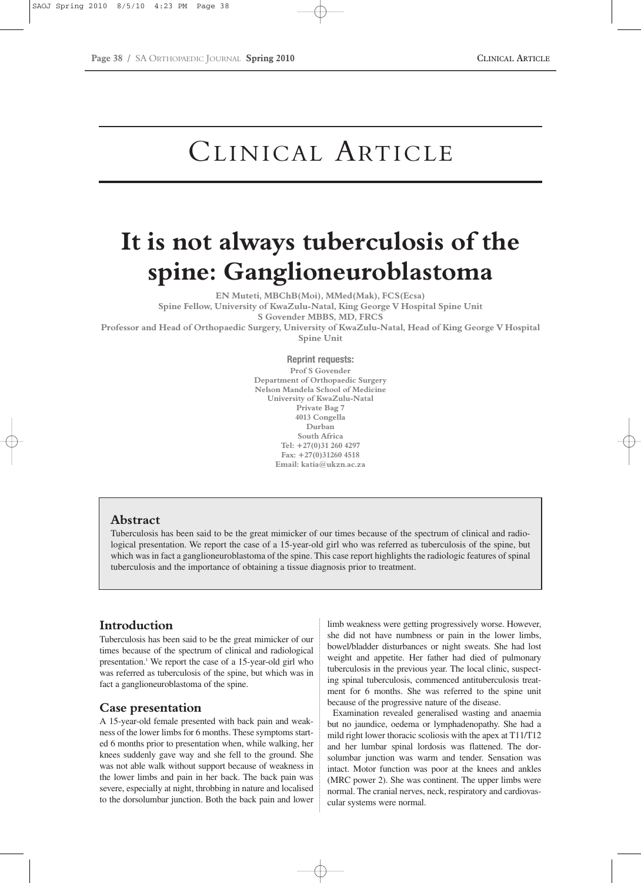# CLINICAL ARTICLE

# **It is not always tuberculosis of the spine: Ganglioneuroblastoma**

**EN Muteti, MBChB(Moi), MMed(Mak), FCS(Ecsa) Spine Fellow, University of KwaZulu-Natal, King George V Hospital Spine Unit S Govender MBBS, MD, FRCS Professor and Head of Orthopaedic Surgery, University of KwaZulu-Natal, Head of King George V Hospital Spine Unit**

> **Reprint requests: Prof S Govender Department of Orthopaedic Surgery Nelson Mandela School of Medicine University of KwaZulu-Natal Private Bag 7 4013 Congella Durban South Africa Tel: +27(0)31 260 4297 Fax: +27(0)31260 4518 Email: katia@ukzn.ac.za**

# **Abstract**

Tuberculosis has been said to be the great mimicker of our times because of the spectrum of clinical and radiological presentation. We report the case of a 15-year-old girl who was referred as tuberculosis of the spine, but which was in fact a ganglioneuroblastoma of the spine. This case report highlights the radiologic features of spinal tuberculosis and the importance of obtaining a tissue diagnosis prior to treatment.

# **Introduction**

Tuberculosis has been said to be the great mimicker of our times because of the spectrum of clinical and radiological presentation.1 We report the case of a 15-year-old girl who was referred as tuberculosis of the spine, but which was in fact a ganglioneuroblastoma of the spine.

# **Case presentation**

A 15-year-old female presented with back pain and weakness of the lower limbs for 6 months. These symptoms started 6 months prior to presentation when, while walking, her knees suddenly gave way and she fell to the ground. She was not able walk without support because of weakness in the lower limbs and pain in her back. The back pain was severe, especially at night, throbbing in nature and localised to the dorsolumbar junction. Both the back pain and lower

limb weakness were getting progressively worse. However, she did not have numbness or pain in the lower limbs, bowel/bladder disturbances or night sweats. She had lost weight and appetite. Her father had died of pulmonary tuberculosis in the previous year. The local clinic, suspecting spinal tuberculosis, commenced antituberculosis treatment for 6 months. She was referred to the spine unit because of the progressive nature of the disease.

Examination revealed generalised wasting and anaemia but no jaundice, oedema or lymphadenopathy. She had a mild right lower thoracic scoliosis with the apex at T11/T12 and her lumbar spinal lordosis was flattened. The dorsolumbar junction was warm and tender. Sensation was intact. Motor function was poor at the knees and ankles (MRC power 2). She was continent. The upper limbs were normal. The cranial nerves, neck, respiratory and cardiovascular systems were normal.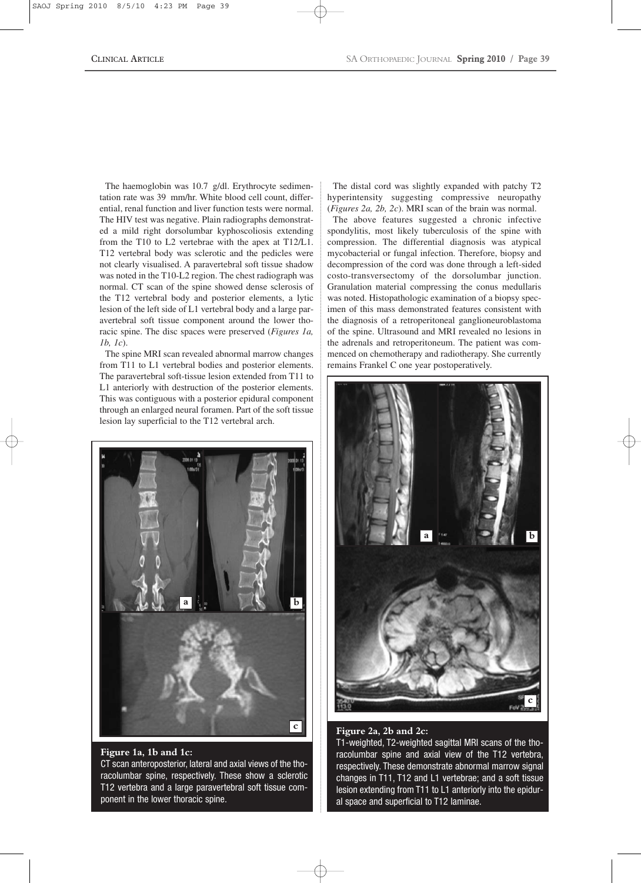The haemoglobin was 10.7 g/dl. Erythrocyte sedimentation rate was 39 mm/hr. White blood cell count, differential, renal function and liver function tests were normal. The HIV test was negative. Plain radiographs demonstrated a mild right dorsolumbar kyphoscoliosis extending from the T10 to L2 vertebrae with the apex at T12/L1. T12 vertebral body was sclerotic and the pedicles were not clearly visualised. A paravertebral soft tissue shadow was noted in the T10-L2 region. The chest radiograph was normal. CT scan of the spine showed dense sclerosis of the T12 vertebral body and posterior elements, a lytic lesion of the left side of L1 vertebral body and a large paravertebral soft tissue component around the lower thoracic spine. The disc spaces were preserved (*Figures 1a, 1b, 1c*).

The spine MRI scan revealed abnormal marrow changes from T11 to L1 vertebral bodies and posterior elements. The paravertebral soft-tissue lesion extended from T11 to L1 anteriorly with destruction of the posterior elements. This was contiguous with a posterior epidural component through an enlarged neural foramen. Part of the soft tissue lesion lay superficial to the T12 vertebral arch.



#### **Figure 1a, 1b and 1c:**  CT scan anteroposterior, lateral and axial views of the thoracolumbar spine, respectively. These show a sclerotic T12 vertebra and a large paravertebral soft tissue component in the lower thoracic spine.

The distal cord was slightly expanded with patchy T2 hyperintensity suggesting compressive neuropathy (*Figures 2a, 2b, 2c*). MRI scan of the brain was normal.

The above features suggested a chronic infective spondylitis, most likely tuberculosis of the spine with compression. The differential diagnosis was atypical mycobacterial or fungal infection. Therefore, biopsy and decompression of the cord was done through a left-sided costo-transversectomy of the dorsolumbar junction. Granulation material compressing the conus medullaris was noted. Histopathologic examination of a biopsy specimen of this mass demonstrated features consistent with the diagnosis of a retroperitoneal ganglioneuroblastoma of the spine. Ultrasound and MRI revealed no lesions in the adrenals and retroperitoneum. The patient was commenced on chemotherapy and radiotherapy. She currently remains Frankel C one year postoperatively.



#### **Figure 2a, 2b and 2c:**

T1-weighted, T2-weighted sagittal MRI scans of the thoracolumbar spine and axial view of the T12 vertebra, respectively. These demonstrate abnormal marrow signal changes in T11, T12 and L1 vertebrae; and a soft tissue lesion extending from T11 to L1 anteriorly into the epidural space and superficial to T12 laminae.